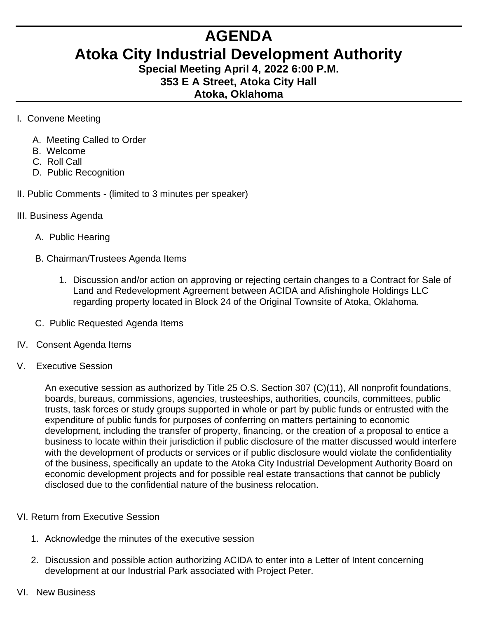## **AGENDA**

## **Atoka City Industrial Development Authority**

**Special Meeting April 4, 2022 6:00 P.M. 353 E A Street, Atoka City Hall Atoka, Oklahoma** 

- I. Convene Meeting
	- A. Meeting Called to Order
	- B. Welcome
	- C. Roll Call
	- D. Public Recognition
- II. Public Comments (limited to 3 minutes per speaker)
- III. Business Agenda
	- A. Public Hearing
	- B. Chairman/Trustees Agenda Items
		- 1. Discussion and/or action on approving or rejecting certain changes to a Contract for Sale of Land and Redevelopment Agreement between ACIDA and Afishinghole Holdings LLC regarding property located in Block 24 of the Original Townsite of Atoka, Oklahoma.
	- C. Public Requested Agenda Items
- IV. Consent Agenda Items
- V. Executive Session

An executive session as authorized by Title 25 O.S. Section 307 (C)(11), All nonprofit foundations, boards, bureaus, commissions, agencies, trusteeships, authorities, councils, committees, public trusts, task forces or study groups supported in whole or part by public funds or entrusted with the expenditure of public funds for purposes of conferring on matters pertaining to economic development, including the transfer of property, financing, or the creation of a proposal to entice a business to locate within their jurisdiction if public disclosure of the matter discussed would interfere with the development of products or services or if public disclosure would violate the confidentiality of the business, specifically an update to the Atoka City Industrial Development Authority Board on economic development projects and for possible real estate transactions that cannot be publicly disclosed due to the confidential nature of the business relocation.

## VI. Return from Executive Session

- 1. Acknowledge the minutes of the executive session
- 2. Discussion and possible action authorizing ACIDA to enter into a Letter of Intent concerning development at our Industrial Park associated with Project Peter.
- VI. New Business